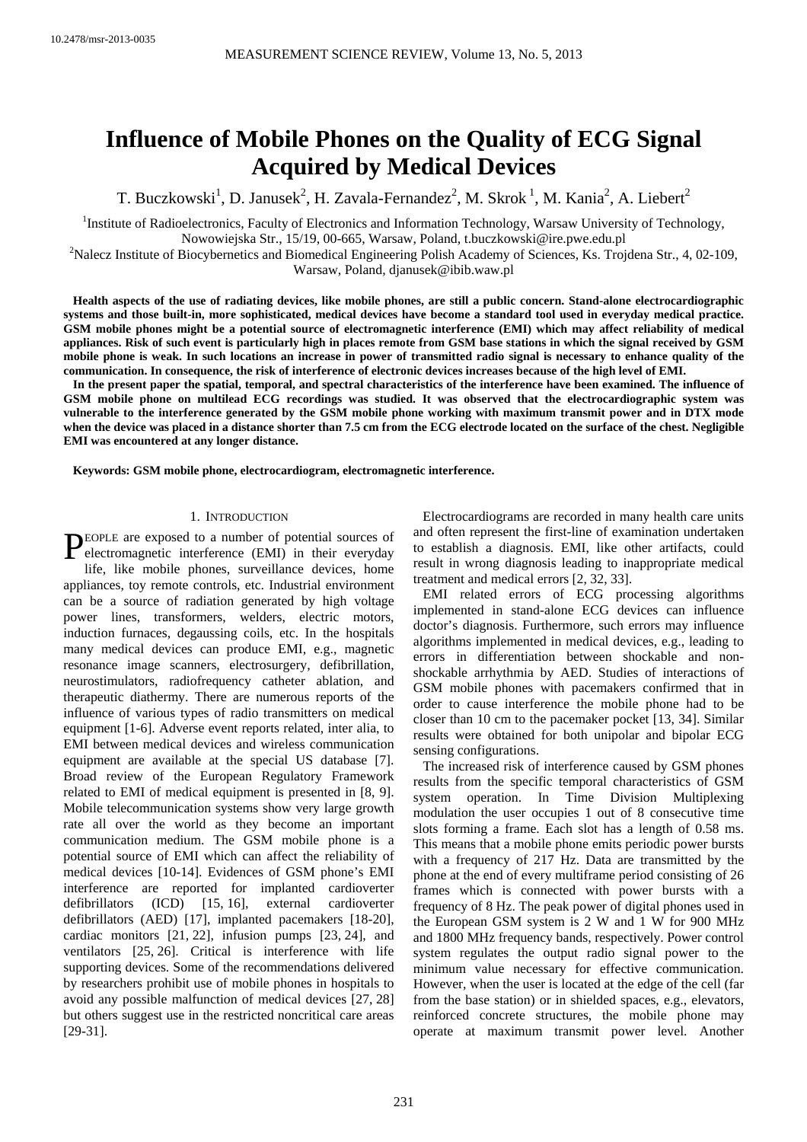# **Influence of Mobile Phones on the Quality of ECG Signal Acquired by Medical Devices**

T. Buczkowski<sup>1</sup>, D. Janusek<sup>2</sup>, H. Zavala-Fernandez<sup>2</sup>, M. Skrok<sup>1</sup>, M. Kania<sup>2</sup>, A. Liebert<sup>2</sup>

<sup>1</sup>Institute of Radioelectronics, Faculty of Electronics and Information Technology, Warsaw University of Technology, Nowowiejska Str., 15/19, 00-665, Warsaw, Poland, t.buczkowski@ire.pwe.edu.pl 2

Nalecz Institute of Biocybernetics and Biomedical Engineering Polish Academy of Sciences, Ks. Trojdena Str., 4, 02-109, Warsaw, Poland, djanusek@ibib.waw.pl

**Health aspects of the use of radiating devices, like mobile phones, are still a public concern. Stand-alone electrocardiographic systems and those built-in, more sophisticated, medical devices have become a standard tool used in everyday medical practice. GSM mobile phones might be a potential source of electromagnetic interference (EMI) which may affect reliability of medical appliances. Risk of such event is particularly high in places remote from GSM base stations in which the signal received by GSM mobile phone is weak. In such locations an increase in power of transmitted radio signal is necessary to enhance quality of the communication. In consequence, the risk of interference of electronic devices increases because of the high level of EMI.** 

**In the present paper the spatial, temporal, and spectral characteristics of the interference have been examined. The influence of GSM mobile phone on multilead ECG recordings was studied. It was observed that the electrocardiographic system was vulnerable to the interference generated by the GSM mobile phone working with maximum transmit power and in DTX mode when the device was placed in a distance shorter than 7.5 cm from the ECG electrode located on the surface of the chest. Negligible EMI was encountered at any longer distance.** 

**Keywords: GSM mobile phone, electrocardiogram, electromagnetic interference.** 

#### 1. INTRODUCTION

EOPLE are exposed to a number of potential sources of PEOPLE are exposed to a number of potential sources of<br>electromagnetic interference (EMI) in their everyday

life, like mobile phones, surveillance devices, home appliances, toy remote controls, etc. Industrial environment can be a source of radiation generated by high voltage power lines, transformers, welders, electric motors, induction furnaces, degaussing coils, etc. In the hospitals many medical devices can produce EMI, e.g., magnetic resonance image scanners, electrosurgery, defibrillation, neurostimulators, radiofrequency catheter ablation, and therapeutic diathermy. There are numerous reports of the influence of various types of radio transmitters on medical equipment [1-6]. Adverse event reports related, inter alia, to EMI between medical devices and wireless communication equipment are available at the special US database [7]. Broad review of the European Regulatory Framework related to EMI of medical equipment is presented in [8, 9]. Mobile telecommunication systems show very large growth rate all over the world as they become an important communication medium. The GSM mobile phone is a potential source of EMI which can affect the reliability of medical devices [10-14]. Evidences of GSM phone's EMI interference are reported for implanted cardioverter defibrillators (ICD) [15, 16], external cardioverter defibrillators (AED) [17], implanted pacemakers [18-20], cardiac monitors [21, 22], infusion pumps [23, 24], and ventilators [25, 26]. Critical is interference with life supporting devices. Some of the recommendations delivered by researchers prohibit use of mobile phones in hospitals to avoid any possible malfunction of medical devices [27, 28] but others suggest use in the restricted noncritical care areas [29-31].

Electrocardiograms are recorded in many health care units and often represent the first-line of examination undertaken to establish a diagnosis. EMI, like other artifacts, could result in wrong diagnosis leading to inappropriate medical treatment and medical errors [2, 32, 33].

EMI related errors of ECG processing algorithms implemented in stand-alone ECG devices can influence doctor's diagnosis. Furthermore, such errors may influence algorithms implemented in medical devices, e.g., leading to errors in differentiation between shockable and nonshockable arrhythmia by AED. Studies of interactions of GSM mobile phones with pacemakers confirmed that in order to cause interference the mobile phone had to be closer than 10 cm to the pacemaker pocket [13, 34]. Similar results were obtained for both unipolar and bipolar ECG sensing configurations.

The increased risk of interference caused by GSM phones results from the specific temporal characteristics of GSM system operation. In Time Division Multiplexing modulation the user occupies 1 out of 8 consecutive time slots forming a frame. Each slot has a length of 0.58 ms. This means that a mobile phone emits periodic power bursts with a frequency of 217 Hz. Data are transmitted by the phone at the end of every multiframe period consisting of 26 frames which is connected with power bursts with a frequency of 8 Hz. The peak power of digital phones used in the European GSM system is 2 W and 1 W for 900 MHz and 1800 MHz frequency bands, respectively. Power control system regulates the output radio signal power to the minimum value necessary for effective communication. However, when the user is located at the edge of the cell (far from the base station) or in shielded spaces, e.g., elevators, reinforced concrete structures, the mobile phone may operate at maximum transmit power level. Another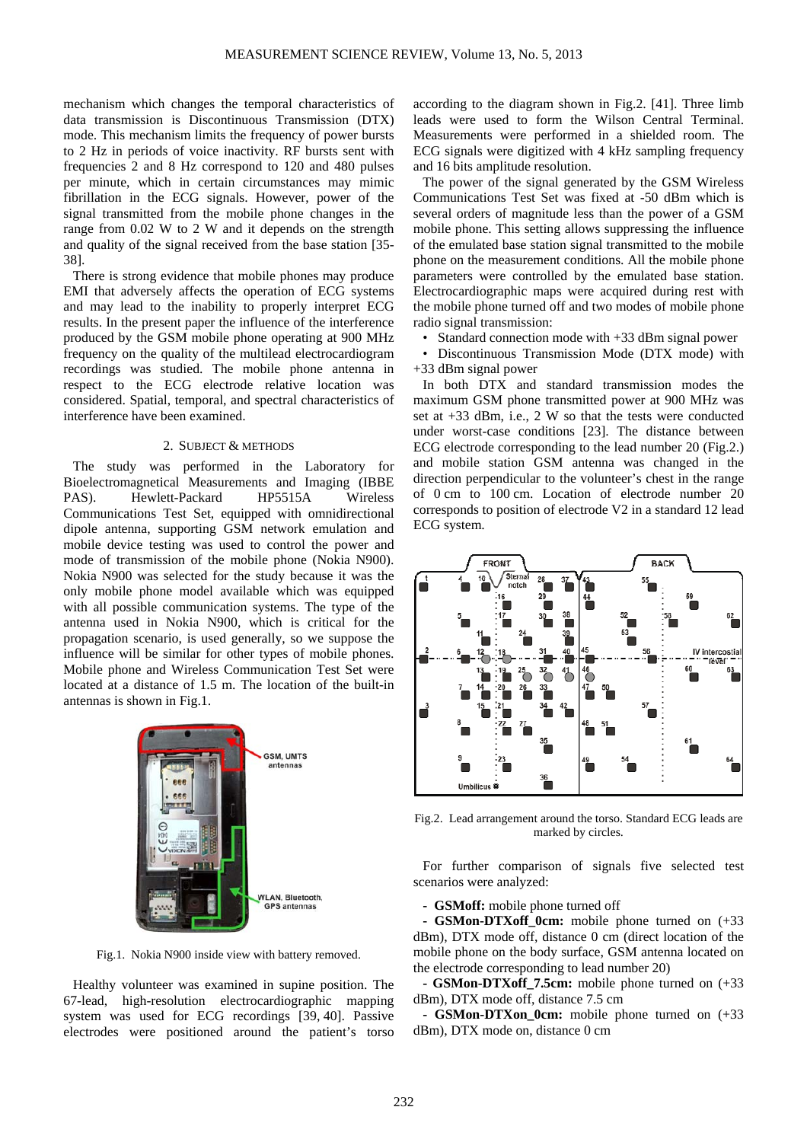mechanism which changes the temporal characteristics of data transmission is Discontinuous Transmission (DTX) mode. This mechanism limits the frequency of power bursts to 2 Hz in periods of voice inactivity. RF bursts sent with frequencies 2 and 8 Hz correspond to 120 and 480 pulses per minute, which in certain circumstances may mimic fibrillation in the ECG signals. However, power of the signal transmitted from the mobile phone changes in the range from 0.02 W to 2 W and it depends on the strength and quality of the signal received from the base station [35- 38].

There is strong evidence that mobile phones may produce EMI that adversely affects the operation of ECG systems and may lead to the inability to properly interpret ECG results. In the present paper the influence of the interference produced by the GSM mobile phone operating at 900 MHz frequency on the quality of the multilead electrocardiogram recordings was studied. The mobile phone antenna in respect to the ECG electrode relative location was considered. Spatial, temporal, and spectral characteristics of interference have been examined.

### 2. SUBJECT & METHODS

The study was performed in the Laboratory for Bioelectromagnetical Measurements and Imaging (IBBE PAS). Hewlett-Packard HP5515A Wireless Communications Test Set, equipped with omnidirectional dipole antenna, supporting GSM network emulation and mobile device testing was used to control the power and mode of transmission of the mobile phone (Nokia N900). Nokia N900 was selected for the study because it was the only mobile phone model available which was equipped with all possible communication systems. The type of the antenna used in Nokia N900, which is critical for the propagation scenario, is used generally, so we suppose the influence will be similar for other types of mobile phones. Mobile phone and Wireless Communication Test Set were located at a distance of 1.5 m. The location of the built-in antennas is shown in Fig.1.



Fig.1. Nokia N900 inside view with battery removed.

Healthy volunteer was examined in supine position. The 67-lead, high-resolution electrocardiographic mapping system was used for ECG recordings [39, 40]. Passive electrodes were positioned around the patient's torso

according to the diagram shown in Fig.2. [41]. Three limb leads were used to form the Wilson Central Terminal. Measurements were performed in a shielded room. The ECG signals were digitized with 4 kHz sampling frequency and 16 bits amplitude resolution.

The power of the signal generated by the GSM Wireless Communications Test Set was fixed at -50 dBm which is several orders of magnitude less than the power of a GSM mobile phone. This setting allows suppressing the influence of the emulated base station signal transmitted to the mobile phone on the measurement conditions. All the mobile phone parameters were controlled by the emulated base station. Electrocardiographic maps were acquired during rest with the mobile phone turned off and two modes of mobile phone radio signal transmission:

• Standard connection mode with +33 dBm signal power

• Discontinuous Transmission Mode (DTX mode) with +33 dBm signal power

In both DTX and standard transmission modes the maximum GSM phone transmitted power at 900 MHz was set at +33 dBm, i.e., 2 W so that the tests were conducted under worst-case conditions [23]. The distance between ECG electrode corresponding to the lead number 20 (Fig.2.) and mobile station GSM antenna was changed in the direction perpendicular to the volunteer's chest in the range of 0 cm to 100 cm. Location of electrode number 20 corresponds to position of electrode V2 in a standard 12 lead ECG system.



Fig.2. Lead arrangement around the torso. Standard ECG leads are marked by circles.

For further comparison of signals five selected test scenarios were analyzed:

**- GSMoff:** mobile phone turned off

**- GSMon-DTXoff 0cm:** mobile phone turned on  $(+33)$ dBm), DTX mode off, distance 0 cm (direct location of the mobile phone on the body surface, GSM antenna located on the electrode corresponding to lead number 20)

**- GSMon-DTXoff\_7.5cm:** mobile phone turned on (+33 dBm), DTX mode off, distance 7.5 cm

**- GSMon-DTXon\_0cm:** mobile phone turned on (+33 dBm), DTX mode on, distance 0 cm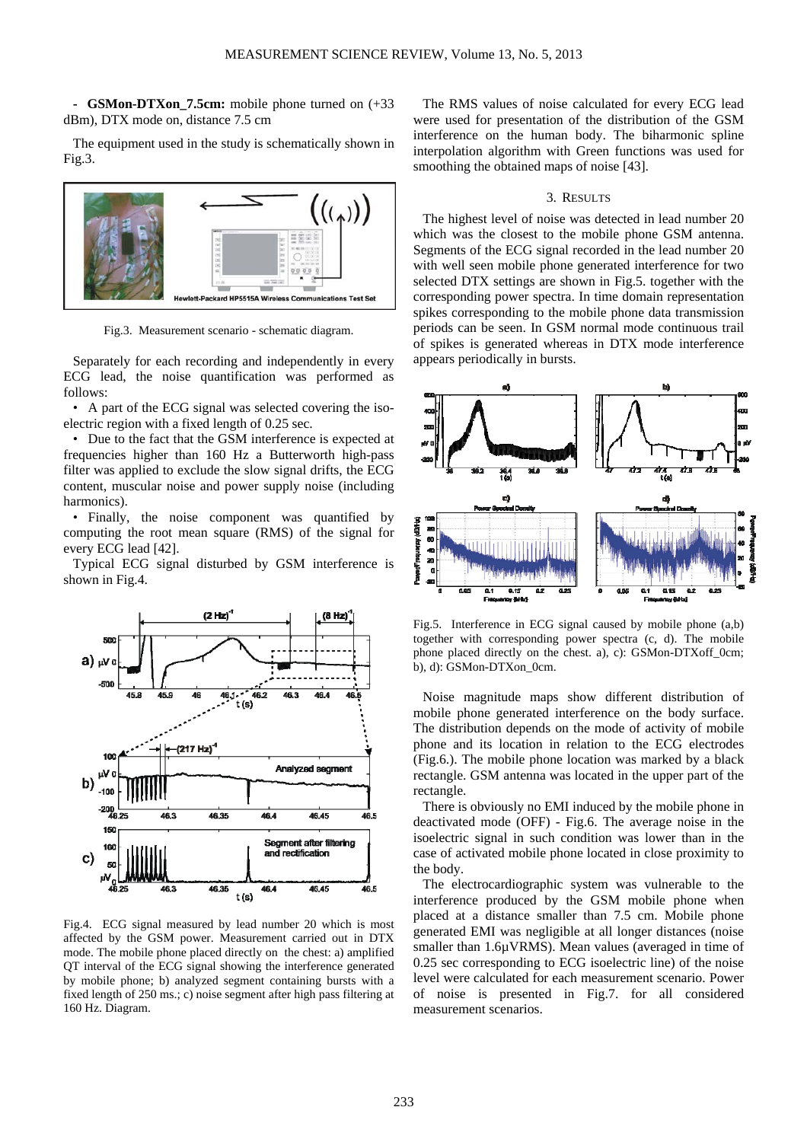**- GSMon-DTXon\_7.5cm:** mobile phone turned on (+33 dBm), DTX mode on, distance 7.5 cm

The equipment used in the study is schematically shown in Fig.3.



Fig.3. Measurement scenario - schematic diagram.

Separately for each recording and independently in every ECG lead, the noise quantification was performed as follows:

• A part of the ECG signal was selected covering the isoelectric region with a fixed length of 0.25 sec.

• Due to the fact that the GSM interference is expected at frequencies higher than 160 Hz a Butterworth high-pass filter was applied to exclude the slow signal drifts, the ECG content, muscular noise and power supply noise (including harmonics).

• Finally, the noise component was quantified by computing the root mean square (RMS) of the signal for every ECG lead [42].

Typical ECG signal disturbed by GSM interference is shown in Fig.4.



Fig.4. ECG signal measured by lead number 20 which is most affected by the GSM power. Measurement carried out in DTX mode. The mobile phone placed directly on the chest: a) amplified QT interval of the ECG signal showing the interference generated by mobile phone; b) analyzed segment containing bursts with a fixed length of 250 ms.; c) noise segment after high pass filtering at 160 Hz. Diagram.

The RMS values of noise calculated for every ECG lead were used for presentation of the distribution of the GSM interference on the human body. The biharmonic spline interpolation algorithm with Green functions was used for smoothing the obtained maps of noise [43].

#### 3. RESULTS

The highest level of noise was detected in lead number 20 which was the closest to the mobile phone GSM antenna. Segments of the ECG signal recorded in the lead number 20 with well seen mobile phone generated interference for two selected DTX settings are shown in Fig.5. together with the corresponding power spectra. In time domain representation spikes corresponding to the mobile phone data transmission periods can be seen. In GSM normal mode continuous trail of spikes is generated whereas in DTX mode interference appears periodically in bursts.



Fig.5. Interference in ECG signal caused by mobile phone (a,b) together with corresponding power spectra (c, d). The mobile phone placed directly on the chest. a), c): GSMon-DTXoff\_0cm; b), d): GSMon-DTXon\_0cm.

Noise magnitude maps show different distribution of mobile phone generated interference on the body surface. The distribution depends on the mode of activity of mobile phone and its location in relation to the ECG electrodes (Fig.6.). The mobile phone location was marked by a black rectangle. GSM antenna was located in the upper part of the rectangle.

There is obviously no EMI induced by the mobile phone in deactivated mode (OFF) - Fig.6. The average noise in the isoelectric signal in such condition was lower than in the case of activated mobile phone located in close proximity to the body.

The electrocardiographic system was vulnerable to the interference produced by the GSM mobile phone when placed at a distance smaller than 7.5 cm. Mobile phone generated EMI was negligible at all longer distances (noise smaller than 1.6µVRMS). Mean values (averaged in time of 0.25 sec corresponding to ECG isoelectric line) of the noise level were calculated for each measurement scenario. Power of noise is presented in Fig.7. for all considered measurement scenarios.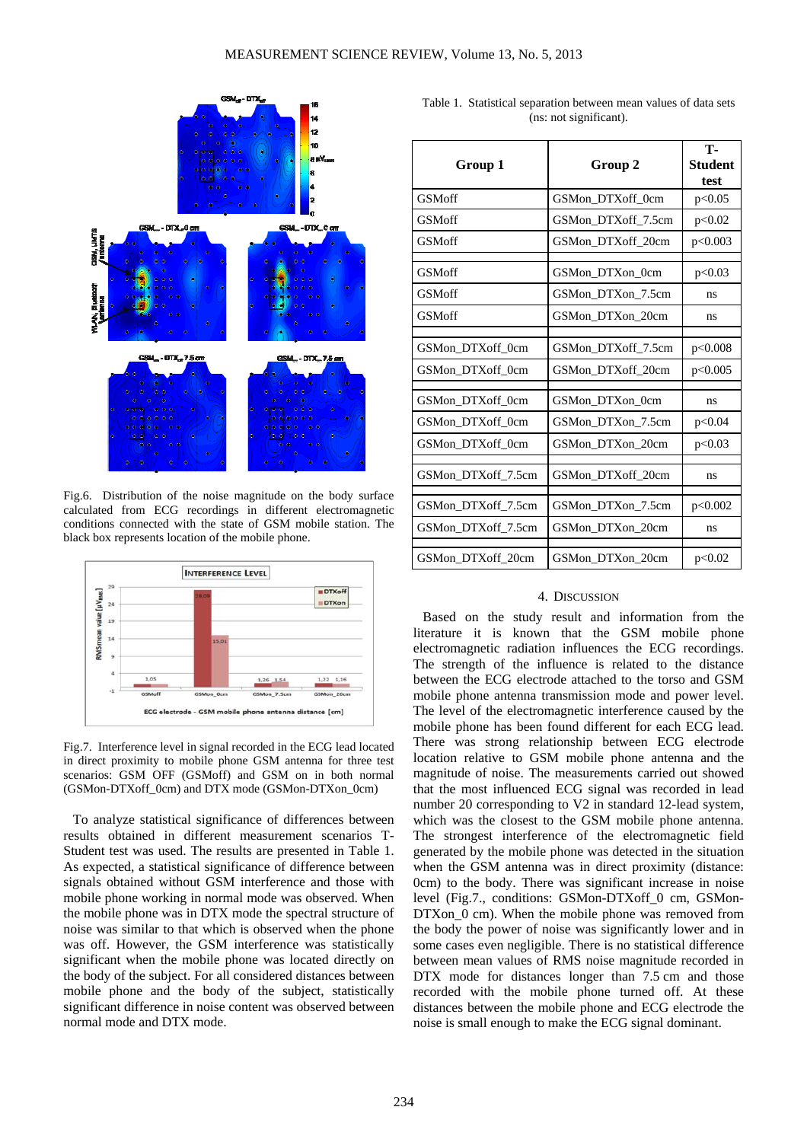

Fig.6. Distribution of the noise magnitude on the body surface calculated from ECG recordings in different electromagnetic conditions connected with the state of GSM mobile station. The black box represents location of the mobile phone.



Fig.7. Interference level in signal recorded in the ECG lead located in direct proximity to mobile phone GSM antenna for three test scenarios: GSM OFF (GSMoff) and GSM on in both normal (GSMon-DTXoff\_0cm) and DTX mode (GSMon-DTXon\_0cm)

To analyze statistical significance of differences between results obtained in different measurement scenarios T-Student test was used. The results are presented in Table 1. As expected, a statistical significance of difference between signals obtained without GSM interference and those with mobile phone working in normal mode was observed. When the mobile phone was in DTX mode the spectral structure of noise was similar to that which is observed when the phone was off. However, the GSM interference was statistically significant when the mobile phone was located directly on the body of the subject. For all considered distances between mobile phone and the body of the subject, statistically significant difference in noise content was observed between normal mode and DTX mode.

Table 1. Statistical separation between mean values of data sets (ns: not significant).

| Group 2            | <b>T-</b><br><b>Student</b><br>test |
|--------------------|-------------------------------------|
| GSMon DTXoff 0cm   | p<0.05                              |
| GSMon DTXoff 7.5cm | p<0.02                              |
| GSMon DTXoff 20cm  | p<0.003                             |
|                    |                                     |
| GSMon DTXon 0cm    | p<0.03                              |
| GSMon DTXon 7.5cm  | ns                                  |
| GSMon DTXon 20cm   | ns                                  |
|                    |                                     |
| GSMon DTXoff 7.5cm | p<0.008                             |
| GSMon DTXoff 20cm  | p<0.005                             |
|                    |                                     |
| GSMon DTXon 0cm    | ns                                  |
| GSMon DTXon 7.5cm  | p<0.04                              |
| GSMon DTXon 20cm   | p<0.03                              |
|                    |                                     |
| GSMon DTXoff 20cm  | ns                                  |
|                    |                                     |
| GSMon DTXon 7.5cm  | p<0.002                             |
| GSMon DTXon 20cm   | ns                                  |
|                    |                                     |
| GSMon DTXon 20cm   | p<0.02                              |
|                    |                                     |

#### 4. DISCUSSION

Based on the study result and information from the literature it is known that the GSM mobile phone electromagnetic radiation influences the ECG recordings. The strength of the influence is related to the distance between the ECG electrode attached to the torso and GSM mobile phone antenna transmission mode and power level. The level of the electromagnetic interference caused by the mobile phone has been found different for each ECG lead. There was strong relationship between ECG electrode location relative to GSM mobile phone antenna and the magnitude of noise. The measurements carried out showed that the most influenced ECG signal was recorded in lead number 20 corresponding to V2 in standard 12-lead system, which was the closest to the GSM mobile phone antenna. The strongest interference of the electromagnetic field generated by the mobile phone was detected in the situation when the GSM antenna was in direct proximity (distance: 0cm) to the body. There was significant increase in noise level (Fig.7., conditions: GSMon-DTXoff\_0 cm, GSMon-DTXon 0 cm). When the mobile phone was removed from the body the power of noise was significantly lower and in some cases even negligible. There is no statistical difference between mean values of RMS noise magnitude recorded in DTX mode for distances longer than 7.5 cm and those recorded with the mobile phone turned off. At these distances between the mobile phone and ECG electrode the noise is small enough to make the ECG signal dominant.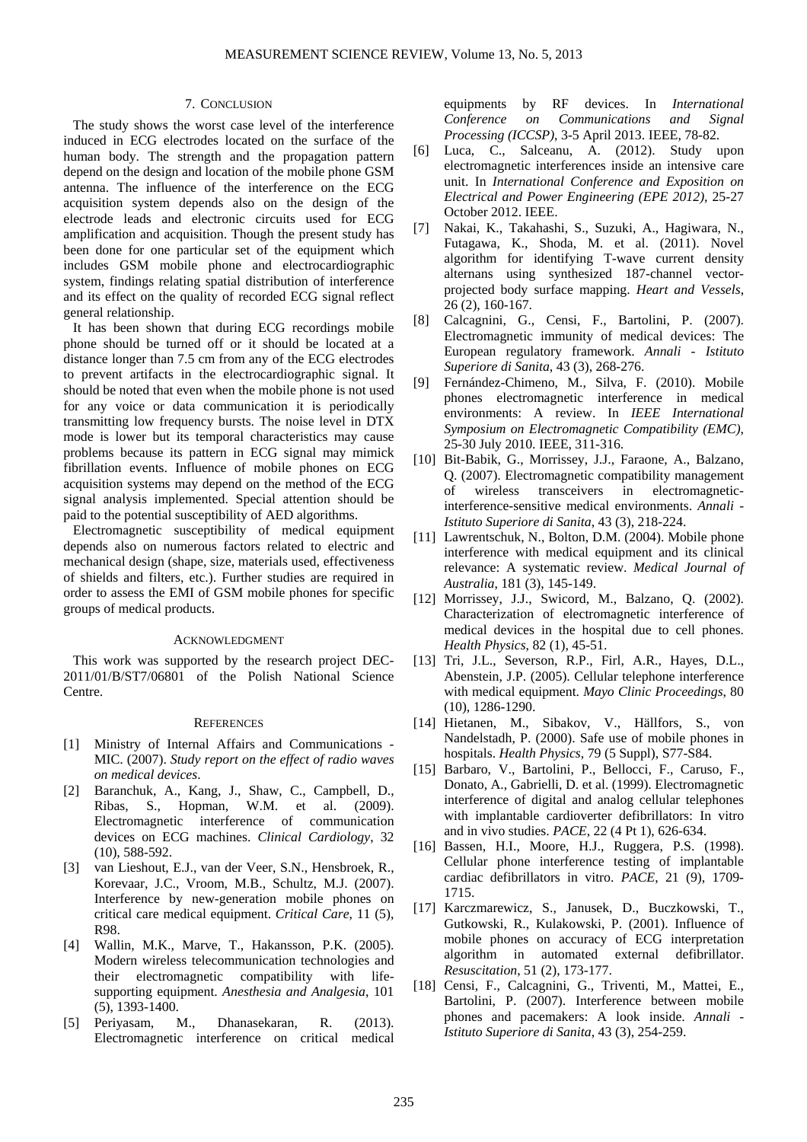## 7. CONCLUSION

The study shows the worst case level of the interference induced in ECG electrodes located on the surface of the human body. The strength and the propagation pattern depend on the design and location of the mobile phone GSM antenna. The influence of the interference on the ECG acquisition system depends also on the design of the electrode leads and electronic circuits used for ECG amplification and acquisition. Though the present study has been done for one particular set of the equipment which includes GSM mobile phone and electrocardiographic system, findings relating spatial distribution of interference and its effect on the quality of recorded ECG signal reflect general relationship.

It has been shown that during ECG recordings mobile phone should be turned off or it should be located at a distance longer than 7.5 cm from any of the ECG electrodes to prevent artifacts in the electrocardiographic signal. It should be noted that even when the mobile phone is not used for any voice or data communication it is periodically transmitting low frequency bursts. The noise level in DTX mode is lower but its temporal characteristics may cause problems because its pattern in ECG signal may mimick fibrillation events. Influence of mobile phones on ECG acquisition systems may depend on the method of the ECG signal analysis implemented. Special attention should be paid to the potential susceptibility of AED algorithms.

Electromagnetic susceptibility of medical equipment depends also on numerous factors related to electric and mechanical design (shape, size, materials used, effectiveness of shields and filters, etc.). Further studies are required in order to assess the EMI of GSM mobile phones for specific groups of medical products.

#### ACKNOWLEDGMENT

This work was supported by the research project DEC-2011/01/B/ST7/06801 of the Polish National Science Centre.

### **REFERENCES**

- [1] Ministry of Internal Affairs and Communications MIC. (2007). *Study report on the effect of radio waves on medical devices*.
- [2] Baranchuk, A., Kang, J., Shaw, C., Campbell, D., Ribas, S., Hopman, W.M. et al. (2009). Electromagnetic interference of communication devices on ECG machines. *Clinical Cardiology*, 32 (10), 588-592.
- [3] van Lieshout, E.J., van der Veer, S.N., Hensbroek, R., Korevaar, J.C., Vroom, M.B., Schultz, M.J. (2007). Interference by new-generation mobile phones on critical care medical equipment. *Critical Care*, 11 (5), R98.
- [4] Wallin, M.K., Marve, T., Hakansson, P.K. (2005). Modern wireless telecommunication technologies and their electromagnetic compatibility with lifesupporting equipment. *Anesthesia and Analgesia*, 101 (5), 1393-1400.
- [5] Periyasam, M., Dhanasekaran, R. (2013). Electromagnetic interference on critical medical

equipments by RF devices. In *International Conference on Communications and Signal Processing (ICCSP)*, 3-5 April 2013. IEEE, 78-82.

- [6] Luca, C., Salceanu, A. (2012). Study upon electromagnetic interferences inside an intensive care unit. In *International Conference and Exposition on Electrical and Power Engineering (EPE 2012)*, 25-27 October 2012. IEEE.
- [7] Nakai, K., Takahashi, S., Suzuki, A., Hagiwara, N., Futagawa, K., Shoda, M. et al. (2011). Novel algorithm for identifying T-wave current density alternans using synthesized 187-channel vectorprojected body surface mapping. *Heart and Vessels*, 26 (2), 160-167.
- [8] Calcagnini, G., Censi, F., Bartolini, P. (2007). Electromagnetic immunity of medical devices: The European regulatory framework. *Annali - Istituto Superiore di Sanita*, 43 (3), 268-276.
- [9] Fernández-Chimeno, M., Silva, F. (2010). Mobile phones electromagnetic interference in medical environments: A review. In *IEEE International Symposium on Electromagnetic Compatibility (EMC)*, 25-30 July 2010. IEEE, 311-316.
- [10] Bit-Babik, G., Morrissey, J.J., Faraone, A., Balzano, Q. (2007). Electromagnetic compatibility management of wireless transceivers in electromagneticinterference-sensitive medical environments. *Annali - Istituto Superiore di Sanita*, 43 (3), 218-224.
- [11] Lawrentschuk, N., Bolton, D.M. (2004). Mobile phone interference with medical equipment and its clinical relevance: A systematic review. *Medical Journal of Australia*, 181 (3), 145-149.
- [12] Morrissey, J.J., Swicord, M., Balzano, Q. (2002). Characterization of electromagnetic interference of medical devices in the hospital due to cell phones. *Health Physics*, 82 (1), 45-51.
- [13] Tri, J.L., Severson, R.P., Firl, A.R., Hayes, D.L., Abenstein, J.P. (2005). Cellular telephone interference with medical equipment. *Mayo Clinic Proceedings*, 80 (10), 1286-1290.
- [14] Hietanen, M., Sibakov, V., Hällfors, S., von Nandelstadh, P. (2000). Safe use of mobile phones in hospitals. *Health Physics*, 79 (5 Suppl), S77-S84.
- [15] Barbaro, V., Bartolini, P., Bellocci, F., Caruso, F., Donato, A., Gabrielli, D. et al. (1999). Electromagnetic interference of digital and analog cellular telephones with implantable cardioverter defibrillators: In vitro and in vivo studies. *PACE*, 22 (4 Pt 1), 626-634.
- [16] Bassen, H.I., Moore, H.J., Ruggera, P.S. (1998). Cellular phone interference testing of implantable cardiac defibrillators in vitro. *PACE*, 21 (9), 1709- 1715.
- [17] Karczmarewicz, S., Janusek, D., Buczkowski, T., Gutkowski, R., Kulakowski, P. (2001). Influence of mobile phones on accuracy of ECG interpretation algorithm in automated external defibrillator. *Resuscitation*, 51 (2), 173-177.
- [18] Censi, F., Calcagnini, G., Triventi, M., Mattei, E., Bartolini, P. (2007). Interference between mobile phones and pacemakers: A look inside. *Annali - Istituto Superiore di Sanita*, 43 (3), 254-259.